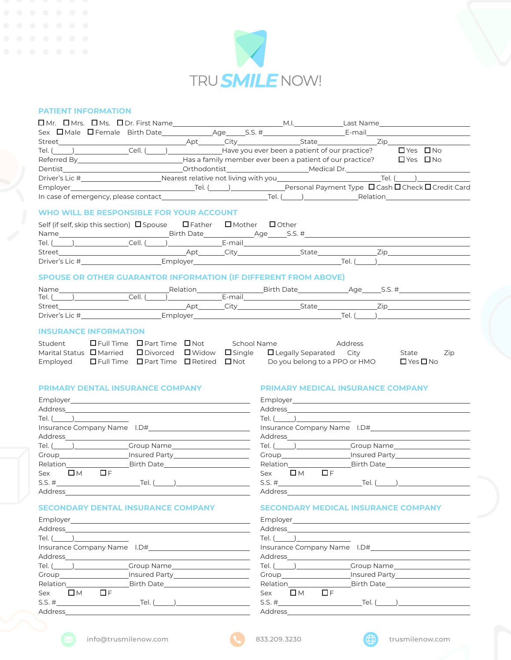

# **PATIENT INFORMATION**

| $\Box$ Mr. $\Box$ Mrs. $\Box$ Ms. $\Box$ Dr. First Name |  |  |  |  | M.I. The contract of the contract of the contract of the contract of the contract of the contract of the contract of the contract of the contract of the contract of the contract of the contract of the contract of the contr | Last Name |                                                                                          |
|---------------------------------------------------------|--|--|--|--|--------------------------------------------------------------------------------------------------------------------------------------------------------------------------------------------------------------------------------|-----------|------------------------------------------------------------------------------------------|
| Sex $\Box$ Male $\Box$ Female Birth Date                |  |  |  |  |                                                                                                                                                                                                                                |           |                                                                                          |
|                                                         |  |  |  |  | Street 2ip                                                                                                                                                                                                                     |           |                                                                                          |
|                                                         |  |  |  |  | Tel. () Cell. () Have you ever been a patient of our practice?                                                                                                                                                                 |           | $\Box$ Yes $\Box$ No                                                                     |
| Referred By                                             |  |  |  |  | Has a family member ever been a patient of our practice?                                                                                                                                                                       |           | $\Box$ Yes $\Box$ No                                                                     |
| <b>Dentist</b>                                          |  |  |  |  | Orthodontist Medical Dr.                                                                                                                                                                                                       |           |                                                                                          |
| Driver's Lic #                                          |  |  |  |  | Nearest relative not living with you                                                                                                                                                                                           |           | Tel. ( )                                                                                 |
| Employer Tel. (b)                                       |  |  |  |  |                                                                                                                                                                                                                                |           | Personal Payment Type $\,\,\square\,$ Cash $\,\square\,$ Check $\,\square\,$ Credit Card |
|                                                         |  |  |  |  |                                                                                                                                                                                                                                |           |                                                                                          |

#### **WHO WILL BE RESPONSIBLE FOR YOUR ACCOUNT**

| Self (if self, skip this section) $\Box$ Spouse | $\Box$ Father | $\Box$ Mother | $\Box$ Other |      |  |
|-------------------------------------------------|---------------|---------------|--------------|------|--|
| Name                                            | Birth Date    | Age           | $S.S. \#$    |      |  |
| Tel.<br>Cell.                                   |               | E-mail        |              |      |  |
| Street                                          | Apt           | ™i†\.         | State        | 7in  |  |
| Driver's Lic #                                  | Employer      |               |              | Tel. |  |

# **SPOUSE OR OTHER GUARANTOR INFORMATION (IF DIFFERENT FROM ABOVE)**

| Name           | Relatior |        | <b>Birth</b><br>∩ate | $\sim$ $\sim$ $\sim$<br>Aae |  |
|----------------|----------|--------|----------------------|-----------------------------|--|
| Tel.           | Cell.    | E-mail |                      |                             |  |
| Street         | Ap.      |        | State                | -                           |  |
| Driver's Lic # | Employer |        |                      | Tel.                        |  |

#### **INSURANCE INFORMATION**

| Student                                                              | $\Box$ Full Time $\Box$ Part Time $\Box$ Not | School Name |                                                                                                        | Address |                      |     |
|----------------------------------------------------------------------|----------------------------------------------|-------------|--------------------------------------------------------------------------------------------------------|---------|----------------------|-----|
|                                                                      |                                              |             | Marital Status $\Box$ Married $\Box$ Divorced $\Box$ Widow $\Box$ Single $\Box$ Legally Separated City |         | State                | Zip |
| Employed $\Box$ Full Time $\Box$ Part Time $\Box$ Retired $\Box$ Not |                                              |             | Do you belong to a PPO or HMO                                                                          |         | $\Box$ Yes $\Box$ No |     |

### **PRIMARY DENTAL INSURANCE COMPANY**

| Tel. $(\_\_)$           |                             |
|-------------------------|-----------------------------|
|                         | Insurance Company Name 1.D# |
|                         |                             |
|                         |                             |
|                         |                             |
|                         | Relation Birth Date         |
| $Sex$ $\Box M$ $\Box F$ |                             |
|                         | $S.S. \#$ Tel. ()           |
| Address________         |                             |

# **SECONDARY DENTAL INSURANCE COMPANY**

| Tel. $(\_\_\_\_)$       |
|-------------------------|
|                         |
|                         |
|                         |
|                         |
| Relation Birth Date     |
| $Sex$ $\Box M$ $\Box F$ |
| $S.S. \#$ Tel. ()       |
| Address_________        |

#### **PRIMARY MEDICAL INSURANCE COMPANY**

| Employer_______________________                                                                                                                                                                                                                                                                                                                                                                                       |                                                                                  |
|-----------------------------------------------------------------------------------------------------------------------------------------------------------------------------------------------------------------------------------------------------------------------------------------------------------------------------------------------------------------------------------------------------------------------|----------------------------------------------------------------------------------|
| $\begin{picture}(150,10) \put(0,0){\dashbox{0.5}(10,0){ }} \thicklines \put(0,0){\dashbox{0.5}(10,0){ }} \thicklines \put(0,0){\dashbox{0.5}(10,0){ }} \thicklines \put(0,0){\dashbox{0.5}(10,0){ }} \thicklines \put(0,0){\dashbox{0.5}(10,0){ }} \thicklines \put(0,0){\dashbox{0.5}(10,0){ }} \thicklines \put(0,0){\dashbox{0.5}(10,0){ }} \thicklines \put(0,0){\dashbox{0.5}(10,0){ }} \thicklines \put(0,0){\$ |                                                                                  |
|                                                                                                                                                                                                                                                                                                                                                                                                                       |                                                                                  |
|                                                                                                                                                                                                                                                                                                                                                                                                                       |                                                                                  |
|                                                                                                                                                                                                                                                                                                                                                                                                                       |                                                                                  |
|                                                                                                                                                                                                                                                                                                                                                                                                                       | Croup Communication insured Party                                                |
|                                                                                                                                                                                                                                                                                                                                                                                                                       | Relation________________________________Birth Date______________________________ |
| $\Box$<br>$Sex$ $\Box$ M                                                                                                                                                                                                                                                                                                                                                                                              |                                                                                  |
|                                                                                                                                                                                                                                                                                                                                                                                                                       | $S.S. \#$ Tel. ()                                                                |
| Address                                                                                                                                                                                                                                                                                                                                                                                                               |                                                                                  |

# **SECONDARY MEDICAL INSURANCE COMPANY**

|                       | Tel. <u>(______)__________________</u>                                                  |
|-----------------------|-----------------------------------------------------------------------------------------|
|                       |                                                                                         |
|                       |                                                                                         |
|                       | Tel. <u>(______)_____________________</u> _Group Name__________________________________ |
|                       |                                                                                         |
|                       | Relation___________________________Birth Date___________________________________        |
| Sex $\Box$ M $\Box$ F |                                                                                         |
|                       |                                                                                         |
|                       |                                                                                         |



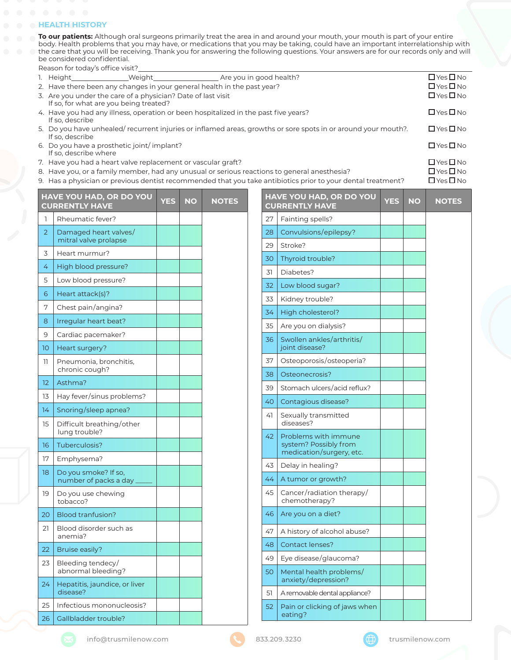#### **A HEALTH HISTORY**

**To our patients:** Although oral surgeons primarily treat the area in and around your mouth, your mouth is part of your entire body. Health problems that you may have, or medications that you may be taking, could have an important interrelationship with the care that you will be receiving. Thank you for answering the following questions. Your answers are for our records only and will be considered confidential.

Reason for today's office visit?

| 1. Height                                                           | Weight Meight Are you in good health?                                   |                                                                                                                | $\Box$ Yes $\Box$ No |
|---------------------------------------------------------------------|-------------------------------------------------------------------------|----------------------------------------------------------------------------------------------------------------|----------------------|
|                                                                     | 2. Have there been any changes in your general health in the past year? |                                                                                                                | $\Box$ Yes $\Box$ No |
| If so, for what are you being treated?                              | 3. Are you under the care of a physician? Date of last visit            |                                                                                                                | $\Box$ Yes $\Box$ No |
| If so, describe                                                     |                                                                         | 4. Have you had any illness, operation or been hospitalized in the past five years?                            | $\Box$ Yes $\Box$ No |
| If so, describe                                                     |                                                                         | 5. Do you have unhealed/ recurrent injuries or inflamed areas, growths or sore spots in or around your mouth?. | $\Box$ Yes $\Box$ No |
| 6. Do you have a prosthetic joint/implant?<br>If so, describe where |                                                                         |                                                                                                                | $\Box$ Yes $\Box$ No |
|                                                                     | 7. Have you had a heart valve replacement or vascular graft?            |                                                                                                                | $\Box$ Yes $\Box$ No |
|                                                                     |                                                                         | 8. Have you, or a family member, had any unusual or serious reactions to general anesthesia?                   | $\Box$ Yes $\Box$ No |
|                                                                     |                                                                         |                                                                                                                |                      |

9. Has a physician or previous dentist recommended that you take antibiotics prior to your dental treatment?  $\square$  Yes  $\square$  No

|                      | HAVE YOU HAD, OR DO YOU<br><b>CURRENTLY HAVE</b> | <b>YES</b> | <b>NO</b> | <b>NOTES</b> |    | HAVE YOU HAD, OR DO YOU<br><b>CURRENTLY HAVE</b> | <b>YES</b> | <b>NO</b> | <b>NOTES</b> |
|----------------------|--------------------------------------------------|------------|-----------|--------------|----|--------------------------------------------------|------------|-----------|--------------|
| 1                    | Rheumatic fever?                                 |            |           |              | 27 | Fainting spells?                                 |            |           |              |
| $\overline{2}$       | Damaged heart valves/<br>mitral valve prolapse   |            |           |              | 28 | Convulsions/epilepsy?                            |            |           |              |
| 3                    | Heart murmur?                                    |            |           |              | 29 | Stroke?                                          |            |           |              |
| 4                    | High blood pressure?                             |            |           |              | 30 | Thyroid trouble?                                 |            |           |              |
| 5                    | Low blood pressure?                              |            |           |              | 31 | Diabetes?                                        |            |           |              |
| 6                    | Heart attack(s)?                                 |            |           |              | 32 | Low blood sugar?                                 |            |           |              |
| 7                    | Chest pain/angina?                               |            |           |              | 33 | Kidney trouble?                                  |            |           |              |
|                      |                                                  |            |           |              | 34 | High cholesterol?                                |            |           |              |
| 8                    | Irregular heart beat?                            |            |           |              | 35 | Are you on dialysis?                             |            |           |              |
| 9<br>10 <sup>°</sup> | Cardiac pacemaker?<br>Heart surgery?             |            |           |              | 36 | Swollen ankles/arthritis/<br>joint disease?      |            |           |              |
| 11                   | Pneumonia, bronchitis,                           |            |           |              | 37 | Osteoporosis/osteoperia?                         |            |           |              |
|                      | chronic cough?                                   |            |           |              | 38 | Osteonecrosis?                                   |            |           |              |
| 12 <sup>2</sup>      | Asthma?                                          |            |           |              | 39 | Stomach ulcers/acid reflux?                      |            |           |              |
| 13                   | Hay fever/sinus problems?                        |            |           |              | 40 | Contagious disease?                              |            |           |              |
| 14                   | Snoring/sleep apnea?                             |            |           |              | 41 | Sexually transmitted                             |            |           |              |
| 15                   | Difficult breathing/other<br>lung trouble?       |            |           |              |    | diseases?                                        |            |           |              |
| 16                   | Tuberculosis?                                    |            |           |              | 42 | Problems with immune<br>system? Possibly from    |            |           |              |
| 17                   | Emphysema?                                       |            |           |              |    | medication/surgery, etc.                         |            |           |              |
| 18                   | Do you smoke? If so.                             |            |           |              | 43 | Delay in healing?                                |            |           |              |
|                      | number of packs a day_                           |            |           |              | 44 | A tumor or growth?                               |            |           |              |
| 19                   | Do you use chewing<br>tobacco?                   |            |           |              | 45 | Cancer/radiation therapy/<br>chemotherapy?       |            |           |              |
| 20                   | <b>Blood tranfusion?</b>                         |            |           |              | 46 | Are you on a diet?                               |            |           |              |
| 21                   | Blood disorder such as<br>anemia?                |            |           |              | 47 | A history of alcohol abuse?                      |            |           |              |
| 22                   | Bruise easily?                                   |            |           |              | 48 | <b>Contact lenses?</b>                           |            |           |              |
| 23                   | Bleeding tendecy/                                |            |           |              | 49 | Eye disease/glaucoma?                            |            |           |              |
|                      | abnormal bleeding?                               |            |           |              | 50 | Mental health problems/<br>anxiety/depression?   |            |           |              |
| 24                   | Hepatitis, jaundice, or liver<br>disease?        |            |           |              | 51 | A removable dental appliance?                    |            |           |              |
| 25                   | Infectious mononucleosis?                        |            |           |              | 52 | Pain or clicking of jaws when                    |            |           |              |
| 26                   | Gallbladder trouble?                             |            |           |              |    | eating?                                          |            |           |              |
|                      |                                                  |            |           |              |    |                                                  |            |           |              |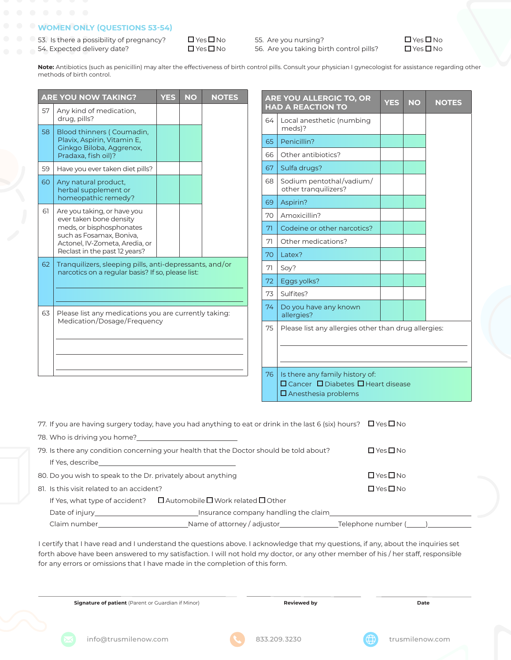# **WOMEN ONLY (QUESTIONS 53-54)**

53. Is there a possibility of pregnancy?  $\Box$  Yes  $\Box$  No 54. Expected delivery date?  $\Box$  Yes  $\Box$  No

55. Are you nursing?  $\Box$  Yes  $\Box$  No 56. Are you taking birth control pills?  $\Box$  Yes  $\Box$  No



**Note:** Antibiotics (such as penicillin) may alter the effectiveness of birth control pills. Consult your physician I gynecologist for assistance regarding other methods of birth control.

|    | <b>ARE YOU NOW TAKING?</b>                                                                                   | <b>YES</b> | <b>NO</b> | <b>NOTES</b> |                                     |                                                      | ARE YOU ALLERGIC TO, OR                                              | <b>YES</b> | <b>NO</b> | <b>NOTES</b> |
|----|--------------------------------------------------------------------------------------------------------------|------------|-----------|--------------|-------------------------------------|------------------------------------------------------|----------------------------------------------------------------------|------------|-----------|--------------|
| 57 | Any kind of medication,                                                                                      |            |           |              |                                     |                                                      | <b>HAD A REACTION TO</b>                                             |            |           |              |
|    | drug, pills?                                                                                                 |            |           |              |                                     | 64                                                   | Local anesthetic (numbing<br>meds)?                                  |            |           |              |
| 58 | Blood thinners (Coumadin,<br>Plavix, Aspirin, Vitamin E,                                                     |            |           |              | 65                                  |                                                      | Penicillin?                                                          |            |           |              |
|    | Ginkgo Biloba, Aggrenox,<br>Pradaxa, fish oil)?                                                              |            |           |              | 66                                  |                                                      | Other antibiotics?                                                   |            |           |              |
| 59 | Have you ever taken diet pills?                                                                              |            |           |              | 67                                  |                                                      | Sulfa drugs?                                                         |            |           |              |
| 60 | Any natural product,<br>herbal supplement or                                                                 |            |           |              |                                     | 68                                                   | Sodium pentothal/vadium/<br>other tranquilizers?                     |            |           |              |
|    | homeopathic remedy?                                                                                          |            |           |              | 69                                  |                                                      | Aspirin?                                                             |            |           |              |
| 61 | Are you taking, or have you<br>ever taken bone density                                                       |            |           |              | 70                                  |                                                      | Amoxicillin?                                                         |            |           |              |
|    | meds, or bisphosphonates                                                                                     |            |           |              | 71                                  |                                                      | Codeine or other narcotics?                                          |            |           |              |
|    | such as Fosamax, Boniva,<br>Actonel, IV-Zometa, Aredia, or                                                   |            |           |              | 71                                  |                                                      | Other medications?                                                   |            |           |              |
|    | Reclast in the past 12 years?                                                                                |            |           |              | 70                                  |                                                      | Latex?                                                               |            |           |              |
| 62 | Tranquilizers, sleeping pills, anti-depressants, and/or<br>narcotics on a regular basis? If so, please list: |            |           |              | 71                                  |                                                      | Soy?                                                                 |            |           |              |
|    |                                                                                                              |            |           |              | 72                                  |                                                      | Eggs yolks?                                                          |            |           |              |
|    |                                                                                                              |            |           |              | 73                                  |                                                      | Sulfites?                                                            |            |           |              |
| 63 | Please list any medications you are currently taking:                                                        |            |           | 74           | Do you have any known<br>allergies? |                                                      |                                                                      |            |           |              |
|    | Medication/Dosage/Frequency                                                                                  |            |           | 75           |                                     | Please list any allergies other than drug allergies: |                                                                      |            |           |              |
|    |                                                                                                              |            |           |              |                                     |                                                      |                                                                      |            |           |              |
|    |                                                                                                              |            |           |              |                                     | 76                                                   | Is there any family history of:                                      |            |           |              |
|    |                                                                                                              |            |           |              |                                     |                                                      | □ Cancer □ Diabetes □ Heart disease<br>$\square$ Anesthesia problems |            |           |              |

|                                                                                                                 | 77. If you are having surgery today, have you had anything to eat or drink in the last 6 (six) hours? $\Box$ Yes $\Box$ No |                      |  |
|-----------------------------------------------------------------------------------------------------------------|----------------------------------------------------------------------------------------------------------------------------|----------------------|--|
| 78. Who is driving you home?<br><u> </u>                                                                        |                                                                                                                            |                      |  |
| 79. Is there any condition concerning your health that the Doctor should be told about?                         | $\Box$ Yes $\Box$ No                                                                                                       |                      |  |
|                                                                                                                 |                                                                                                                            |                      |  |
| 80. Do you wish to speak to the Dr. privately about anything                                                    | $\Box$ Yes $\Box$ No                                                                                                       |                      |  |
| 81. Is this visit related to an accident?                                                                       |                                                                                                                            | $\Box$ Yes $\Box$ No |  |
|                                                                                                                 | If Yes, what type of accident? $\square$ Automobile $\square$ Work related $\square$ Other                                 |                      |  |
| Date of injury that the part of the part of the part of the part of the part of the part of the part of the par | Insurance company handling the claim                                                                                       |                      |  |
| Claim number                                                                                                    | Name of attorney / adjustor______________                                                                                  | Telephone number (   |  |

I certify that I have read and I understand the questions above. I acknowledge that my questions, if any, about the inquiries set forth above have been answered to my satisfaction. I will not hold my doctor, or any other member of his / her staff, responsible for any errors or omissions that I have made in the completion of this form.

**Signature of patient** (Parent or Guardian if Minor) **Reviewed by Reviewed by Reviewed by** Date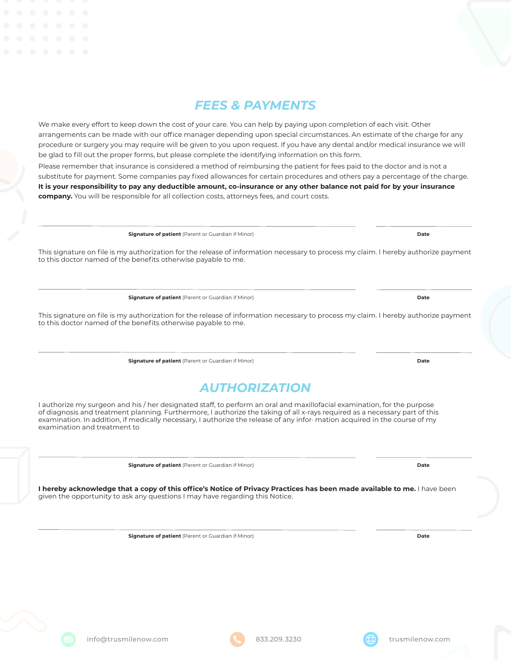

# *FEES & PAYMENTS*

We make every effort to keep down the cost of your care. You can help by paying upon completion of each visit. Other arrangements can be made with our office manager depending upon special circumstances. An estimate of the charge for any procedure or surgery you may require will be given to you upon request. If you have any dental and/or medical insurance we will be glad to fill out the proper forms, but please complete the identifying information on this form.

Please remember that insurance is considered a method of reimbursing the patient for fees paid to the doctor and is not a substitute for payment. Some companies pay fixed allowances for certain procedures and others pay a percentage of the charge. **It is your responsibility to pay any deductible amount, co-insurance or any other balance not paid for by your insurance company.** You will be responsible for all collection costs, attorneys fees, and court costs.

**Signature of patient** (Parent or Guardian if Minor) **Date**

This signature on file is my authorization for the release of information necessary to process my claim. I hereby authorize payment to this doctor named of the benefits otherwise payable to me.

**Signature of patient** (Parent or Guardian if Minor) **Date**

This signature on file is my authorization for the release of information necessary to process my claim. I hereby authorize payment to this doctor named of the benefits otherwise payable to me.

**Signature of patient** (Parent or Guardian if Minor) **Date**

# *AUTHORIZATION*

I authorize my surgeon and his / her designated staff, to perform an oral and maxillofacial examination, for the purpose of diagnosis and treatment planning. Furthermore, I authorize the taking of all x-rays required as a necessary part of this examination. In addition, if medically necessary, I authorize the release of any infor· mation acquired in the course of my examination and treatment to

**Signature of patient** (Parent or Guardian if Minor) **Date**

**I hereby acknowledge that a copy of this office's Notice of Privacy Practices has been made available to me.** I have been given the opportunity to ask any questions I may have regarding this Notice.

**Signature of patient** (Parent or Guardian if Minor) **Date**





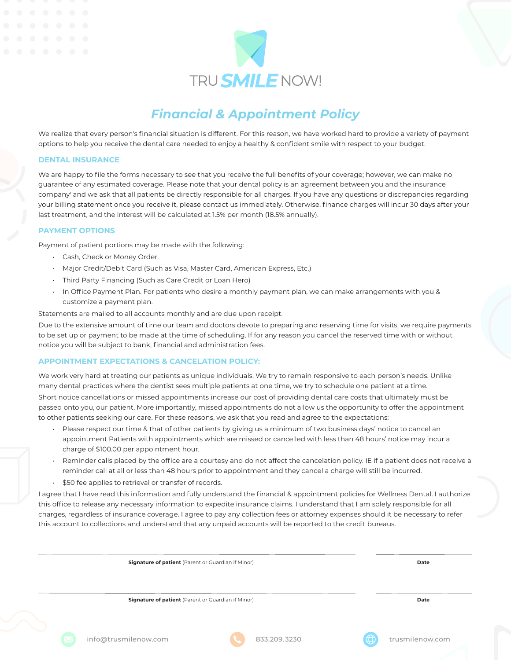

# *Financial & Appointment Policy*

We realize that every person's financial situation is different. For this reason, we have worked hard to provide a variety of payment options to help you receive the dental care needed to enjoy a healthy & confident smile with respect to your budget.

#### **DENTAL INSURANCE**

We are happy to file the forms necessary to see that you receive the full benefits of your coverage; however, we can make no guarantee of any estimated coverage. Please note that your dental policy is an agreement between you and the insurance company' and we ask that all patients be directly responsible for all charges. If you have any questions or discrepancies regarding your billing statement once you receive it, please contact us immediately. Otherwise, finance charges will incur 30 days after your last treatment, and the interest will be calculated at 1.5% per month (18.5% annually).

### **PAYMENT OPTIONS**

Payment of patient portions may be made with the following:

- Cash, Check or Money Order.
- Major Credit/Debit Card (Such as Visa, Master Card, American Express, Etc.)
- Third Party Financing (Such as Care Credit or Loan Hero)
- In Office Payment Plan. For patients who desire a monthly payment plan, we can make arrangements with you & customize a payment plan.

Statements are mailed to all accounts monthly and are due upon receipt.

Due to the extensive amount of time our team and doctors devote to preparing and reserving time for visits, we require payments to be set up or payment to be made at the time of scheduling. If for any reason you cancel the reserved time with or without notice you will be subject to bank, financial and administration fees.

#### **APPOINTMENT EXPECTATIONS & CANCELATION POLICY:**

We work very hard at treating our patients as unique individuals. We try to remain responsive to each person's needs. Unlike many dental practices where the dentist sees multiple patients at one time, we try to schedule one patient at a time.

Short notice cancellations or missed appointments increase our cost of providing dental care costs that ultimately must be passed onto you, our patient. More importantly, missed appointments do not allow us the opportunity to offer the appointment to other patients seeking our care. For these reasons, we ask that you read and agree to the expectations:

- Please respect our time & that of other patients by giving us a minimum of two business days' notice to cancel an appointment Patients with appointments which are missed or cancelled with less than 48 hours' notice may incur a charge of \$100.00 per appointment hour.
- Reminder calls placed by the office are a courtesy and do not affect the cancelation policy. IE if a patient does not receive a reminder call at all or less than 48 hours prior to appointment and they cancel a charge will still be incurred.
- \$50 fee applies to retrieval or transfer of records.

I agree that I have read this information and fully understand the financial & appointment policies for Wellness Dental. I authorize this office to release any necessary information to expedite insurance claims. I understand that I am solely responsible for all charges, regardless of insurance coverage. I agree to pay any collection fees or attorney expenses should it be necessary to refer this account to collections and understand that any unpaid accounts will be reported to the credit bureaus.

 **Signature of patient** (Parent or Guardian if Minor) **Date Signature of patient** (Parent or Guardian if Minor) **Date**